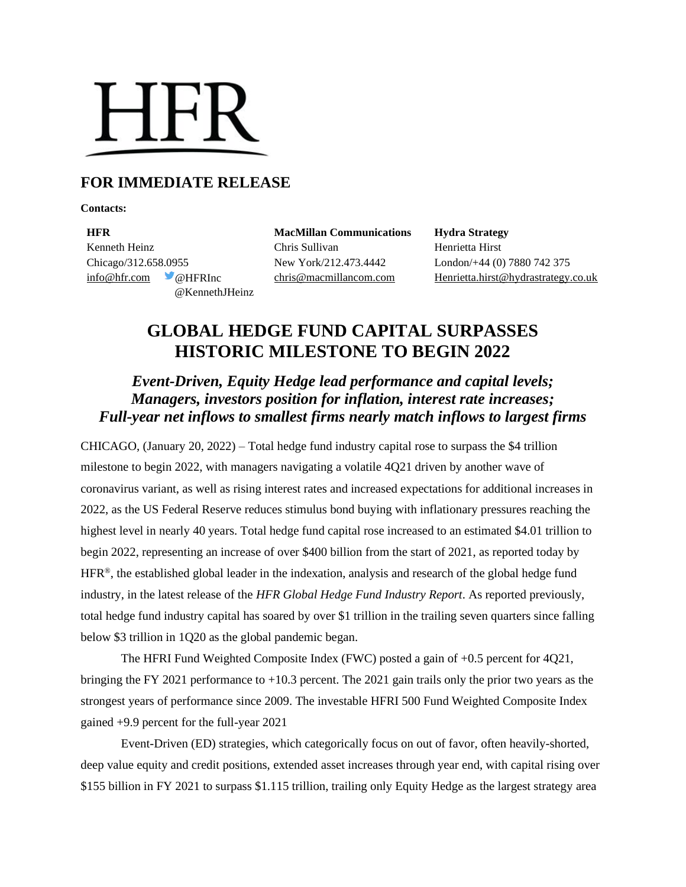# **HFR**

# **FOR IMMEDIATE RELEASE**

**Contacts:**

**HFR MacMillan Communications Hydra Strategy** Kenneth Heinz **Chris Sullivan** Chris Sullivan Henrietta Hirst Chicago/312.658.0955 New York/212.473.4442 London/+44 (0) 7880 742 375 @KennethJHeinz

[info@hfr.com](mailto:info@hfr.com) @HFRInc [chris@macmillancom.com](mailto:chris@macmillancom.com) [Henrietta.hirst@hydrastrategy.co.uk](mailto:Henrietta.hirst@hydrastrategy.co.uk) 

# **GLOBAL HEDGE FUND CAPITAL SURPASSES HISTORIC MILESTONE TO BEGIN 2022**

## *Event-Driven, Equity Hedge lead performance and capital levels; Managers, investors position for inflation, interest rate increases; Full-year net inflows to smallest firms nearly match inflows to largest firms*

CHICAGO, (January 20, 2022) – Total hedge fund industry capital rose to surpass the \$4 trillion milestone to begin 2022, with managers navigating a volatile 4Q21 driven by another wave of coronavirus variant, as well as rising interest rates and increased expectations for additional increases in 2022, as the US Federal Reserve reduces stimulus bond buying with inflationary pressures reaching the highest level in nearly 40 years. Total hedge fund capital rose increased to an estimated \$4.01 trillion to begin 2022, representing an increase of over \$400 billion from the start of 2021, as reported today by HFR®, the established global leader in the indexation, analysis and research of the global hedge fund industry, in the latest release of the *HFR Global Hedge Fund Industry Report*. As reported previously, total hedge fund industry capital has soared by over \$1 trillion in the trailing seven quarters since falling below \$3 trillion in 1Q20 as the global pandemic began.

The HFRI Fund Weighted Composite Index (FWC) posted a gain of +0.5 percent for 4Q21, bringing the FY 2021 performance to  $+10.3$  percent. The 2021 gain trails only the prior two years as the strongest years of performance since 2009. The investable HFRI 500 Fund Weighted Composite Index gained +9.9 percent for the full-year 2021

Event-Driven (ED) strategies, which categorically focus on out of favor, often heavily-shorted, deep value equity and credit positions, extended asset increases through year end, with capital rising over \$155 billion in FY 2021 to surpass \$1.115 trillion, trailing only Equity Hedge as the largest strategy area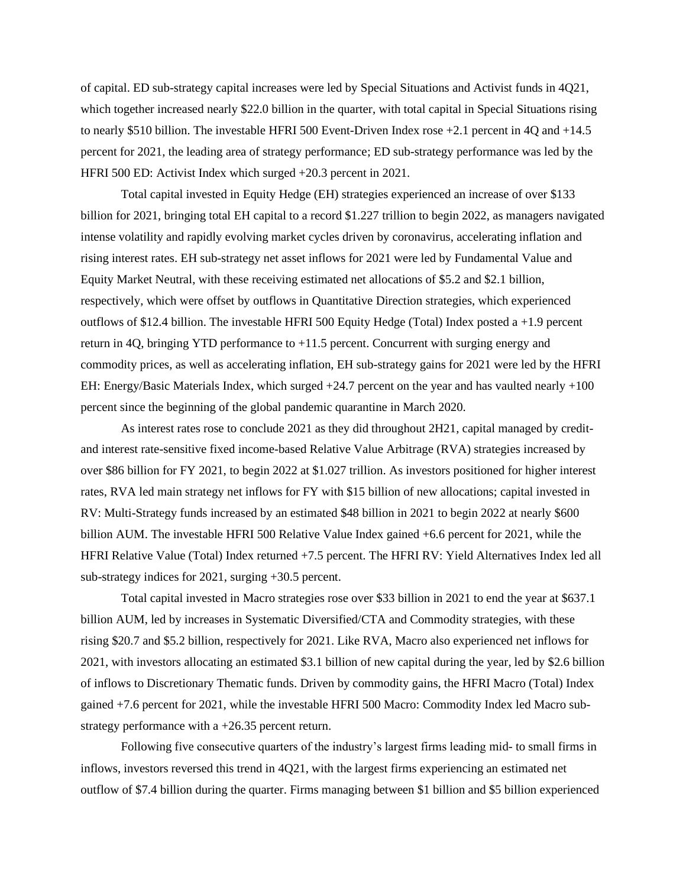of capital. ED sub-strategy capital increases were led by Special Situations and Activist funds in 4Q21, which together increased nearly \$22.0 billion in the quarter, with total capital in Special Situations rising to nearly \$510 billion. The investable HFRI 500 Event-Driven Index rose +2.1 percent in 4Q and +14.5 percent for 2021, the leading area of strategy performance; ED sub-strategy performance was led by the HFRI 500 ED: Activist Index which surged +20.3 percent in 2021.

Total capital invested in Equity Hedge (EH) strategies experienced an increase of over \$133 billion for 2021, bringing total EH capital to a record \$1.227 trillion to begin 2022, as managers navigated intense volatility and rapidly evolving market cycles driven by coronavirus, accelerating inflation and rising interest rates. EH sub-strategy net asset inflows for 2021 were led by Fundamental Value and Equity Market Neutral, with these receiving estimated net allocations of \$5.2 and \$2.1 billion, respectively, which were offset by outflows in Quantitative Direction strategies, which experienced outflows of \$12.4 billion. The investable HFRI 500 Equity Hedge (Total) Index posted a +1.9 percent return in 4Q, bringing YTD performance to  $+11.5$  percent. Concurrent with surging energy and commodity prices, as well as accelerating inflation, EH sub-strategy gains for 2021 were led by the HFRI EH: Energy/Basic Materials Index, which surged +24.7 percent on the year and has vaulted nearly +100 percent since the beginning of the global pandemic quarantine in March 2020.

As interest rates rose to conclude 2021 as they did throughout 2H21, capital managed by creditand interest rate-sensitive fixed income-based Relative Value Arbitrage (RVA) strategies increased by over \$86 billion for FY 2021, to begin 2022 at \$1.027 trillion. As investors positioned for higher interest rates, RVA led main strategy net inflows for FY with \$15 billion of new allocations; capital invested in RV: Multi-Strategy funds increased by an estimated \$48 billion in 2021 to begin 2022 at nearly \$600 billion AUM. The investable HFRI 500 Relative Value Index gained +6.6 percent for 2021, while the HFRI Relative Value (Total) Index returned +7.5 percent. The HFRI RV: Yield Alternatives Index led all sub-strategy indices for 2021, surging +30.5 percent.

Total capital invested in Macro strategies rose over \$33 billion in 2021 to end the year at \$637.1 billion AUM, led by increases in Systematic Diversified/CTA and Commodity strategies, with these rising \$20.7 and \$5.2 billion, respectively for 2021. Like RVA, Macro also experienced net inflows for 2021, with investors allocating an estimated \$3.1 billion of new capital during the year, led by \$2.6 billion of inflows to Discretionary Thematic funds. Driven by commodity gains, the HFRI Macro (Total) Index gained +7.6 percent for 2021, while the investable HFRI 500 Macro: Commodity Index led Macro substrategy performance with a +26.35 percent return.

Following five consecutive quarters of the industry's largest firms leading mid- to small firms in inflows, investors reversed this trend in 4Q21, with the largest firms experiencing an estimated net outflow of \$7.4 billion during the quarter. Firms managing between \$1 billion and \$5 billion experienced